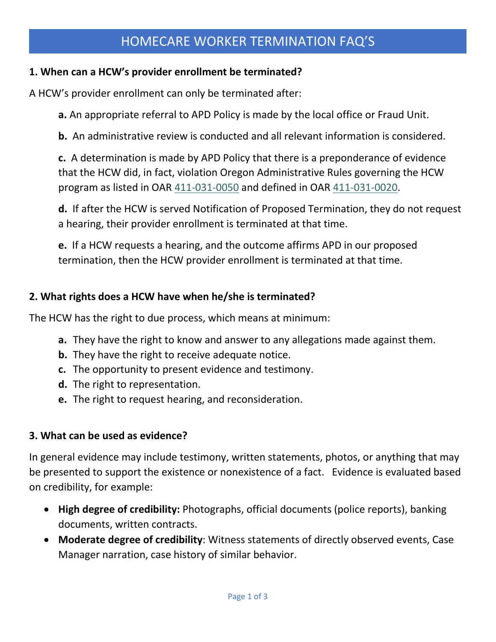# HOMECARE WORKER TERMINATION FAQ'S

#### **1. When can a HCW's provider enrollment be terminated?**

A HCW's provider enrollment can only be terminated after:

**a.** An appropriate referral to APD Policy is made by the local office or Fraud Unit.

**b.** An administrative review is conducted and all relevant information is considered.

**c.** A determination is made by APD Policy that there is a preponderance of evidence that the HCW did, in fact, violation Oregon Administrative Rules governing the HCW program as listed in OAR [411-031-0050](http://www.dhs.state.or.us/policy/spd/rules/411_031.pdf) and defined in OAR [411-031-0020.](http://www.dhs.state.or.us/policy/spd/rules/411_031.pdf)

**d.** If after the HCW is served Notification of Proposed Termination, they do not request a hearing, their provider enrollment is terminated at that time.

**e.** If a HCW requests a hearing, and the outcome affirms APD in our proposed termination, then the HCW provider enrollment is terminated at that time.

#### **2. What rights does a HCW have when he/she is terminated?**

The HCW has the right to due process, which means at minimum:

- **a.** They have the right to know and answer to any allegations made against them.
- **b.** They have the right to receive adequate notice.
- **c.** The opportunity to present evidence and testimony.
- **d.** The right to representation.
- **e.** The right to request hearing, and reconsideration.

#### **3. What can be used as evidence?**

In general evidence may include testimony, written statements, photos, or anything that may be presented to support the existence or nonexistence of a fact. Evidence is evaluated based on credibility, for example:

- **High degree of credibility:** Photographs, official documents (police reports), banking documents, written contracts.
- **Moderate degree of credibility**: Witness statements of directly observed events, Case Manager narration, case history of similar behavior.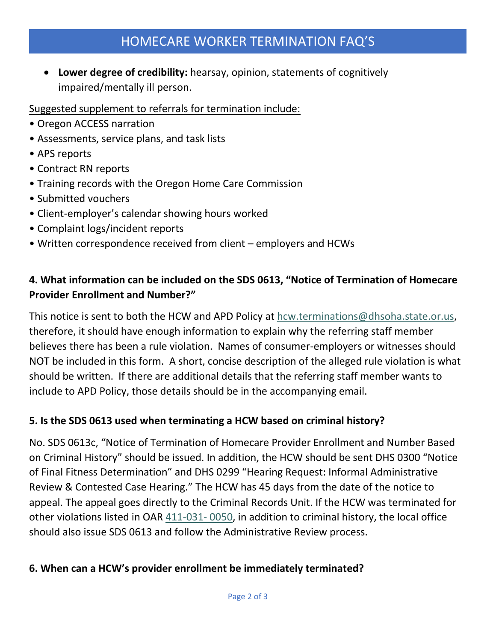# HOMECARE WORKER TERMINATION FAQ'S

• **Lower degree of credibility:** hearsay, opinion, statements of cognitively impaired/mentally ill person.

### Suggested supplement to referrals for termination include:

- Oregon ACCESS narration
- Assessments, service plans, and task lists
- APS reports
- Contract RN reports
- Training records with the Oregon Home Care Commission
- Submitted vouchers
- Client-employer's calendar showing hours worked
- Complaint logs/incident reports
- Written correspondence received from client employers and HCWs

## **4. What information can be included on the SDS 0613, "Notice of Termination of Homecare Provider Enrollment and Number?"**

This notice is sent to both the HCW and APD Policy at [hcw.terminations@dhsoha.state.or.us,](mailto:hcw.terminations@dhsoha.state.or.us) therefore, it should have enough information to explain why the referring staff member believes there has been a rule violation. Names of consumer-employers or witnesses should NOT be included in this form. A short, concise description of the alleged rule violation is what should be written. If there are additional details that the referring staff member wants to include to APD Policy, those details should be in the accompanying email.

### **5. Is the SDS 0613 used when terminating a HCW based on criminal history?**

No. SDS 0613c, "Notice of Termination of Homecare Provider Enrollment and Number Based on Criminal History" should be issued. In addition, the HCW should be sent DHS 0300 "Notice of Final Fitness Determination" and DHS 0299 "Hearing Request: Informal Administrative Review & Contested Case Hearing." The HCW has 45 days from the date of the notice to appeal. The appeal goes directly to the Criminal Records Unit. If the HCW was terminated for other violations listed in OAR [411-031-](http://www.dhs.state.or.us/policy/spd/rules/411_031.pdf) 0050, in addition to criminal history, the local office should also issue SDS 0613 and follow the Administrative Review process.

### **6. When can a HCW's provider enrollment be immediately terminated?**